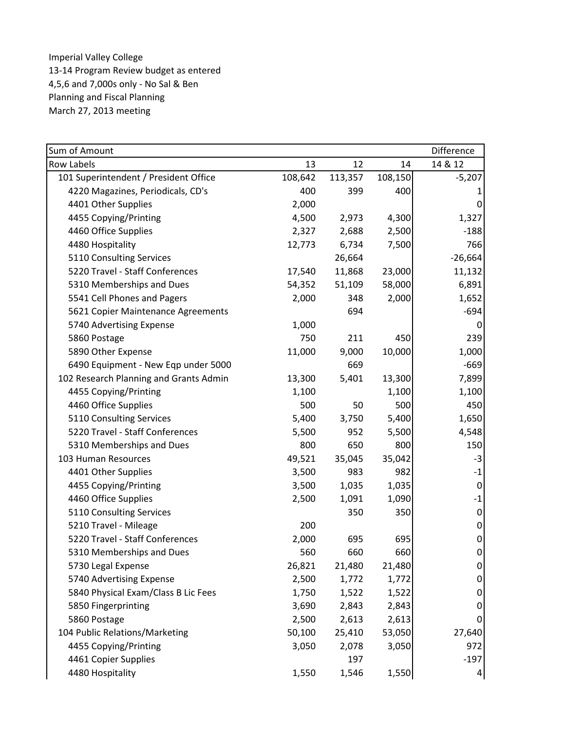| Sum of Amount                          |         |         |         | Difference       |
|----------------------------------------|---------|---------|---------|------------------|
| <b>Row Labels</b>                      | 13      | 12      | 14      | 14 & 12          |
| 101 Superintendent / President Office  | 108,642 | 113,357 | 108,150 | $-5,207$         |
| 4220 Magazines, Periodicals, CD's      | 400     | 399     | 400     |                  |
| 4401 Other Supplies                    | 2,000   |         |         | 0                |
| 4455 Copying/Printing                  | 4,500   | 2,973   | 4,300   | 1,327            |
| 4460 Office Supplies                   | 2,327   | 2,688   | 2,500   | $-188$           |
| 4480 Hospitality                       | 12,773  | 6,734   | 7,500   | 766              |
| 5110 Consulting Services               |         | 26,664  |         | $-26,664$        |
| 5220 Travel - Staff Conferences        | 17,540  | 11,868  | 23,000  | 11,132           |
| 5310 Memberships and Dues              | 54,352  | 51,109  | 58,000  | 6,891            |
| 5541 Cell Phones and Pagers            | 2,000   | 348     | 2,000   | 1,652            |
| 5621 Copier Maintenance Agreements     |         | 694     |         | $-694$           |
| 5740 Advertising Expense               | 1,000   |         |         | 0                |
| 5860 Postage                           | 750     | 211     | 450     | 239              |
| 5890 Other Expense                     | 11,000  | 9,000   | 10,000  | 1,000            |
| 6490 Equipment - New Eqp under 5000    |         | 669     |         | $-669$           |
| 102 Research Planning and Grants Admin | 13,300  | 5,401   | 13,300  | 7,899            |
| 4455 Copying/Printing                  | 1,100   |         | 1,100   | 1,100            |
| 4460 Office Supplies                   | 500     | 50      | 500     | 450              |
| 5110 Consulting Services               | 5,400   | 3,750   | 5,400   | 1,650            |
| 5220 Travel - Staff Conferences        | 5,500   | 952     | 5,500   | 4,548            |
| 5310 Memberships and Dues              | 800     | 650     | 800     | 150              |
| 103 Human Resources                    | 49,521  | 35,045  | 35,042  | $-3$             |
| 4401 Other Supplies                    | 3,500   | 983     | 982     | $-1$             |
| 4455 Copying/Printing                  | 3,500   | 1,035   | 1,035   | 0                |
| 4460 Office Supplies                   | 2,500   | 1,091   | 1,090   | $\textbf{-1}$    |
| 5110 Consulting Services               |         | 350     | 350     | 0                |
| 5210 Travel - Mileage                  | 200     |         |         | 0                |
| 5220 Travel - Staff Conferences        | 2,000   | 695     | 695     | 0                |
| 5310 Memberships and Dues              | 560     | 660     | 660     | $\boldsymbol{0}$ |
| 5730 Legal Expense                     | 26,821  | 21,480  | 21,480  | 0                |
| 5740 Advertising Expense               | 2,500   | 1,772   | 1,772   | 0                |
| 5840 Physical Exam/Class B Lic Fees    | 1,750   | 1,522   | 1,522   | 0                |
| 5850 Fingerprinting                    | 3,690   | 2,843   | 2,843   | 0                |
| 5860 Postage                           | 2,500   | 2,613   | 2,613   | 0                |
| 104 Public Relations/Marketing         | 50,100  | 25,410  | 53,050  | 27,640           |
| 4455 Copying/Printing                  | 3,050   | 2,078   | 3,050   | 972              |
| 4461 Copier Supplies                   |         | 197     |         | $-197$           |
| 4480 Hospitality                       | 1,550   | 1,546   | 1,550   | $\overline{a}$   |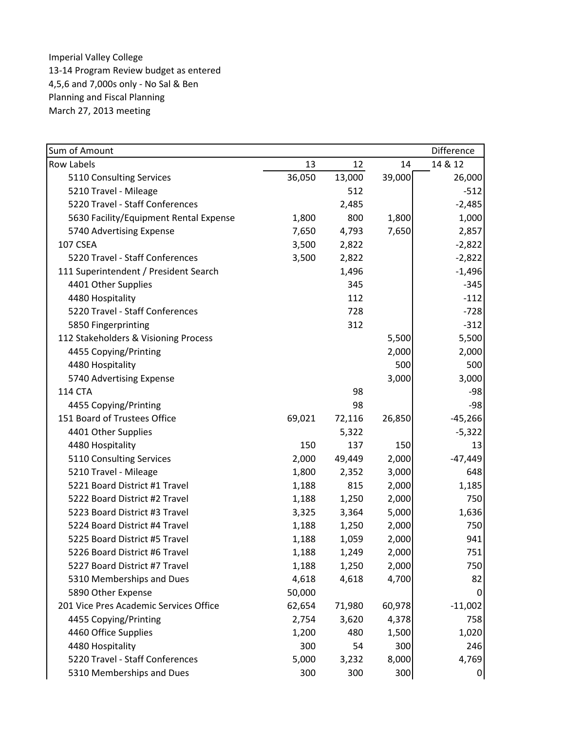| Sum of Amount                          |        |        |        | Difference      |
|----------------------------------------|--------|--------|--------|-----------------|
| <b>Row Labels</b>                      | 13     | 12     | 14     | 14 & 12         |
| 5110 Consulting Services               | 36,050 | 13,000 | 39,000 | 26,000          |
| 5210 Travel - Mileage                  |        | 512    |        | $-512$          |
| 5220 Travel - Staff Conferences        |        | 2,485  |        | $-2,485$        |
| 5630 Facility/Equipment Rental Expense | 1,800  | 800    | 1,800  | 1,000           |
| 5740 Advertising Expense               | 7,650  | 4,793  | 7,650  | 2,857           |
| 107 CSEA                               | 3,500  | 2,822  |        | $-2,822$        |
| 5220 Travel - Staff Conferences        | 3,500  | 2,822  |        | $-2,822$        |
| 111 Superintendent / President Search  |        | 1,496  |        | $-1,496$        |
| 4401 Other Supplies                    |        | 345    |        | $-345$          |
| 4480 Hospitality                       |        | 112    |        | $-112$          |
| 5220 Travel - Staff Conferences        |        | 728    |        | $-728$          |
| 5850 Fingerprinting                    |        | 312    |        | $-312$          |
| 112 Stakeholders & Visioning Process   |        |        | 5,500  | 5,500           |
| 4455 Copying/Printing                  |        |        | 2,000  | 2,000           |
| 4480 Hospitality                       |        |        | 500    | 500             |
| 5740 Advertising Expense               |        |        | 3,000  | 3,000           |
| <b>114 CTA</b>                         |        | 98     |        | $-98$           |
| 4455 Copying/Printing                  |        | 98     |        | $-98$           |
| 151 Board of Trustees Office           | 69,021 | 72,116 | 26,850 | $-45,266$       |
| 4401 Other Supplies                    |        | 5,322  |        | $-5,322$        |
| 4480 Hospitality                       | 150    | 137    | 150    | 13              |
| 5110 Consulting Services               | 2,000  | 49,449 | 2,000  | $-47,449$       |
| 5210 Travel - Mileage                  | 1,800  | 2,352  | 3,000  | 648             |
| 5221 Board District #1 Travel          | 1,188  | 815    | 2,000  | 1,185           |
| 5222 Board District #2 Travel          | 1,188  | 1,250  | 2,000  | 750             |
| 5223 Board District #3 Travel          | 3,325  | 3,364  | 5,000  | 1,636           |
| 5224 Board District #4 Travel          | 1,188  | 1,250  | 2,000  | 750             |
| 5225 Board District #5 Travel          | 1,188  | 1,059  | 2,000  | 941             |
| 5226 Board District #6 Travel          | 1,188  | 1,249  | 2,000  | 751             |
| 5227 Board District #7 Travel          | 1,188  | 1,250  | 2,000  | 750             |
| 5310 Memberships and Dues              | 4,618  | 4,618  | 4,700  | 82              |
| 5890 Other Expense                     | 50,000 |        |        | 0               |
| 201 Vice Pres Academic Services Office | 62,654 | 71,980 | 60,978 | $-11,002$       |
| 4455 Copying/Printing                  | 2,754  | 3,620  | 4,378  | 758             |
| 4460 Office Supplies                   | 1,200  | 480    | 1,500  | 1,020           |
| 4480 Hospitality                       | 300    | 54     | 300    | 246             |
| 5220 Travel - Staff Conferences        | 5,000  | 3,232  | 8,000  | 4,769           |
| 5310 Memberships and Dues              | 300    | 300    | 300    | $\vert 0 \vert$ |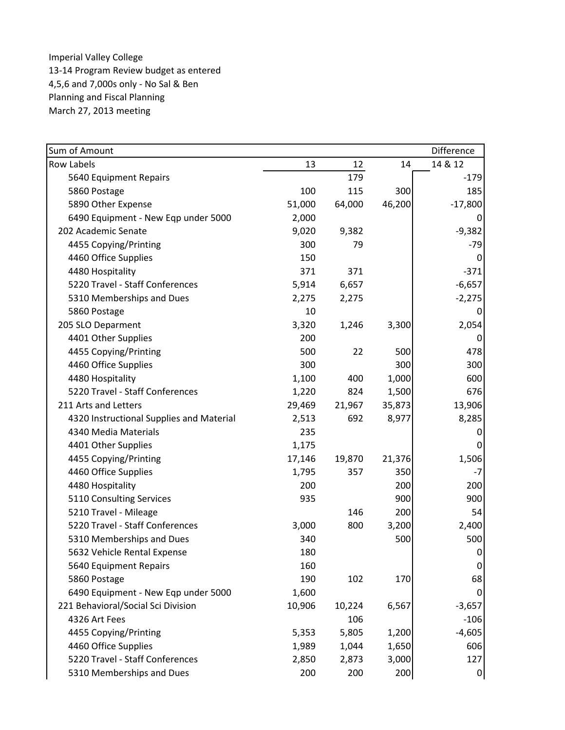| Sum of Amount                            |        |        |        | Difference |
|------------------------------------------|--------|--------|--------|------------|
| <b>Row Labels</b>                        | 13     | 12     | 14     | 14 & 12    |
| 5640 Equipment Repairs                   |        | 179    |        | $-179$     |
| 5860 Postage                             | 100    | 115    | 300    | 185        |
| 5890 Other Expense                       | 51,000 | 64,000 | 46,200 | $-17,800$  |
| 6490 Equipment - New Eqp under 5000      | 2,000  |        |        |            |
| 202 Academic Senate                      | 9,020  | 9,382  |        | $-9,382$   |
| 4455 Copying/Printing                    | 300    | 79     |        | $-79$      |
| 4460 Office Supplies                     | 150    |        |        | 0          |
| 4480 Hospitality                         | 371    | 371    |        | $-371$     |
| 5220 Travel - Staff Conferences          | 5,914  | 6,657  |        | $-6,657$   |
| 5310 Memberships and Dues                | 2,275  | 2,275  |        | $-2,275$   |
| 5860 Postage                             | 10     |        |        | 0          |
| 205 SLO Deparment                        | 3,320  | 1,246  | 3,300  | 2,054      |
| 4401 Other Supplies                      | 200    |        |        | 0          |
| 4455 Copying/Printing                    | 500    | 22     | 500    | 478        |
| 4460 Office Supplies                     | 300    |        | 300    | 300        |
| 4480 Hospitality                         | 1,100  | 400    | 1,000  | 600        |
| 5220 Travel - Staff Conferences          | 1,220  | 824    | 1,500  | 676        |
| 211 Arts and Letters                     | 29,469 | 21,967 | 35,873 | 13,906     |
| 4320 Instructional Supplies and Material | 2,513  | 692    | 8,977  | 8,285      |
| 4340 Media Materials                     | 235    |        |        | 0          |
| 4401 Other Supplies                      | 1,175  |        |        | 0          |
| 4455 Copying/Printing                    | 17,146 | 19,870 | 21,376 | 1,506      |
| 4460 Office Supplies                     | 1,795  | 357    | 350    | $-7$       |
| 4480 Hospitality                         | 200    |        | 200    | 200        |
| 5110 Consulting Services                 | 935    |        | 900    | 900        |
| 5210 Travel - Mileage                    |        | 146    | 200    | 54         |
| 5220 Travel - Staff Conferences          | 3,000  | 800    | 3,200  | 2,400      |
| 5310 Memberships and Dues                | 340    |        | 500    | 500        |
| 5632 Vehicle Rental Expense              | 180    |        |        | $\pmb{0}$  |
| 5640 Equipment Repairs                   | 160    |        |        | 0          |
| 5860 Postage                             | 190    | 102    | 170    | 68         |
| 6490 Equipment - New Eqp under 5000      | 1,600  |        |        | 0          |
| 221 Behavioral/Social Sci Division       | 10,906 | 10,224 | 6,567  | $-3,657$   |
| 4326 Art Fees                            |        | 106    |        | $-106$     |
| 4455 Copying/Printing                    | 5,353  | 5,805  | 1,200  | $-4,605$   |
| 4460 Office Supplies                     | 1,989  | 1,044  | 1,650  | 606        |
| 5220 Travel - Staff Conferences          | 2,850  | 2,873  | 3,000  | 127        |
| 5310 Memberships and Dues                | 200    | 200    | 200    | 0          |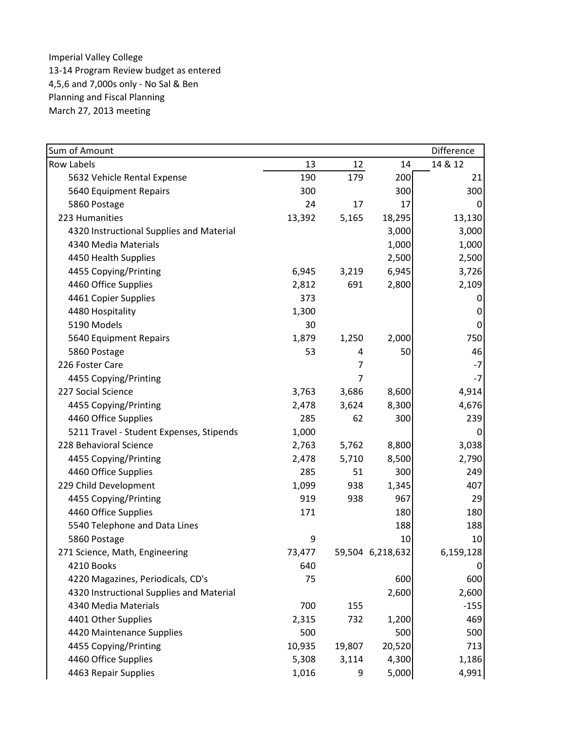| Sum of Amount                            |        |                |                  | Difference |
|------------------------------------------|--------|----------------|------------------|------------|
| <b>Row Labels</b>                        | 13     | 12             | 14               | 14 & 12    |
| 5632 Vehicle Rental Expense              | 190    | 179            | 200              | 21         |
| 5640 Equipment Repairs                   | 300    |                | 300              | 300        |
| 5860 Postage                             | 24     | 17             | 17               | 0          |
| 223 Humanities                           | 13,392 | 5,165          | 18,295           | 13,130     |
| 4320 Instructional Supplies and Material |        |                | 3,000            | 3,000      |
| 4340 Media Materials                     |        |                | 1,000            | 1,000      |
| 4450 Health Supplies                     |        |                | 2,500            | 2,500      |
| 4455 Copying/Printing                    | 6,945  | 3,219          | 6,945            | 3,726      |
| 4460 Office Supplies                     | 2,812  | 691            | 2,800            | 2,109      |
| 4461 Copier Supplies                     | 373    |                |                  | 0          |
| 4480 Hospitality                         | 1,300  |                |                  | 0          |
| 5190 Models                              | 30     |                |                  | $\pmb{0}$  |
| 5640 Equipment Repairs                   | 1,879  | 1,250          | 2,000            | 750        |
| 5860 Postage                             | 53     | 4              | 50               | 46         |
| 226 Foster Care                          |        | $\overline{7}$ |                  | $-7$       |
| 4455 Copying/Printing                    |        | 7              |                  | $-7$       |
| 227 Social Science                       | 3,763  | 3,686          | 8,600            | 4,914      |
| 4455 Copying/Printing                    | 2,478  | 3,624          | 8,300            | 4,676      |
| 4460 Office Supplies                     | 285    | 62             | 300              | 239        |
| 5211 Travel - Student Expenses, Stipends | 1,000  |                |                  | 0          |
| 228 Behavioral Science                   | 2,763  | 5,762          | 8,800            | 3,038      |
| 4455 Copying/Printing                    | 2,478  | 5,710          | 8,500            | 2,790      |
| 4460 Office Supplies                     | 285    | 51             | 300              | 249        |
| 229 Child Development                    | 1,099  | 938            | 1,345            | 407        |
| 4455 Copying/Printing                    | 919    | 938            | 967              | 29         |
| 4460 Office Supplies                     | 171    |                | 180              | 180        |
| 5540 Telephone and Data Lines            |        |                | 188              | 188        |
| 5860 Postage                             | 9      |                | 10               | 10         |
| 271 Science, Math, Engineering           | 73,477 |                | 59,504 6,218,632 | 6,159,128  |
| 4210 Books                               | 640    |                |                  | 0          |
| 4220 Magazines, Periodicals, CD's        | 75     |                | 600              | 600        |
| 4320 Instructional Supplies and Material |        |                | 2,600            | 2,600      |
| 4340 Media Materials                     | 700    | 155            |                  | $-155$     |
| 4401 Other Supplies                      | 2,315  | 732            | 1,200            | 469        |
| 4420 Maintenance Supplies                | 500    |                | 500              | 500        |
| 4455 Copying/Printing                    | 10,935 | 19,807         | 20,520           | 713        |
| 4460 Office Supplies                     | 5,308  | 3,114          | 4,300            | 1,186      |
| 4463 Repair Supplies                     | 1,016  | 9              | 5,000            | 4,991      |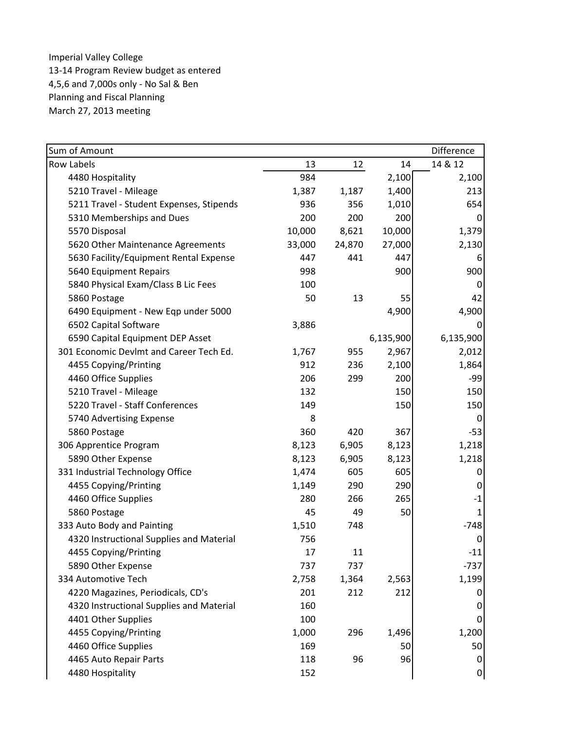| Sum of Amount                            |        |        |           | Difference |
|------------------------------------------|--------|--------|-----------|------------|
| <b>Row Labels</b>                        | 13     | 12     | 14        | 14 & 12    |
| 4480 Hospitality                         | 984    |        | 2,100     | 2,100      |
| 5210 Travel - Mileage                    | 1,387  | 1,187  | 1,400     | 213        |
| 5211 Travel - Student Expenses, Stipends | 936    | 356    | 1,010     | 654        |
| 5310 Memberships and Dues                | 200    | 200    | 200       | 0          |
| 5570 Disposal                            | 10,000 | 8,621  | 10,000    | 1,379      |
| 5620 Other Maintenance Agreements        | 33,000 | 24,870 | 27,000    | 2,130      |
| 5630 Facility/Equipment Rental Expense   | 447    | 441    | 447       | 6          |
| 5640 Equipment Repairs                   | 998    |        | 900       | 900        |
| 5840 Physical Exam/Class B Lic Fees      | 100    |        |           | 0          |
| 5860 Postage                             | 50     | 13     | 55        | 42         |
| 6490 Equipment - New Eqp under 5000      |        |        | 4,900     | 4,900      |
| 6502 Capital Software                    | 3,886  |        |           | 0          |
| 6590 Capital Equipment DEP Asset         |        |        | 6,135,900 | 6,135,900  |
| 301 Economic Devlmt and Career Tech Ed.  | 1,767  | 955    | 2,967     | 2,012      |
| 4455 Copying/Printing                    | 912    | 236    | 2,100     | 1,864      |
| 4460 Office Supplies                     | 206    | 299    | 200       | -99        |
| 5210 Travel - Mileage                    | 132    |        | 150       | 150        |
| 5220 Travel - Staff Conferences          | 149    |        | 150       | 150        |
| 5740 Advertising Expense                 | 8      |        |           | 0          |
| 5860 Postage                             | 360    | 420    | 367       | $-53$      |
| 306 Apprentice Program                   | 8,123  | 6,905  | 8,123     | 1,218      |
| 5890 Other Expense                       | 8,123  | 6,905  | 8,123     | 1,218      |
| 331 Industrial Technology Office         | 1,474  | 605    | 605       | 0          |
| 4455 Copying/Printing                    | 1,149  | 290    | 290       | 0          |
| 4460 Office Supplies                     | 280    | 266    | 265       | $-1$       |
| 5860 Postage                             | 45     | 49     | 50        | 1          |
| 333 Auto Body and Painting               | 1,510  | 748    |           | $-748$     |
| 4320 Instructional Supplies and Material | 756    |        |           | 0          |
| 4455 Copying/Printing                    | 17     | 11     |           | $-11$      |
| 5890 Other Expense                       | 737    | 737    |           | $-737$     |
| 334 Automotive Tech                      | 2,758  | 1,364  | 2,563     | 1,199      |
| 4220 Magazines, Periodicals, CD's        | 201    | 212    | 212       | 0          |
| 4320 Instructional Supplies and Material | 160    |        |           | 0          |
| 4401 Other Supplies                      | 100    |        |           | 0          |
| 4455 Copying/Printing                    | 1,000  | 296    | 1,496     | 1,200      |
| 4460 Office Supplies                     | 169    |        | 50        | 50         |
| 4465 Auto Repair Parts                   | 118    | 96     | 96        | 0          |
| 4480 Hospitality                         | 152    |        |           | 0          |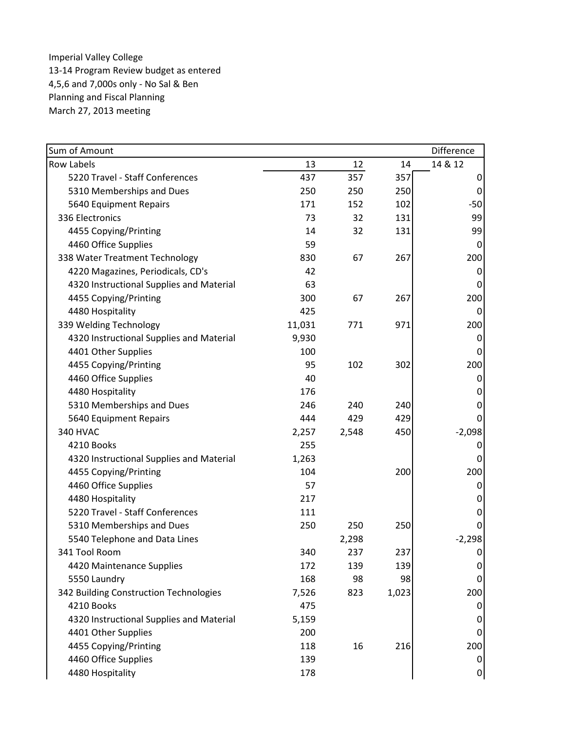| Sum of Amount                            |        |       |       | Difference |
|------------------------------------------|--------|-------|-------|------------|
| <b>Row Labels</b>                        | 13     | 12    | 14    | 14 & 12    |
| 5220 Travel - Staff Conferences          | 437    | 357   | 357   | 0          |
| 5310 Memberships and Dues                | 250    | 250   | 250   | 0          |
| 5640 Equipment Repairs                   | 171    | 152   | 102   | $-50$      |
| 336 Electronics                          | 73     | 32    | 131   | 99         |
| 4455 Copying/Printing                    | 14     | 32    | 131   | 99         |
| 4460 Office Supplies                     | 59     |       |       | 0          |
| 338 Water Treatment Technology           | 830    | 67    | 267   | 200        |
| 4220 Magazines, Periodicals, CD's        | 42     |       |       | 0          |
| 4320 Instructional Supplies and Material | 63     |       |       | 0          |
| 4455 Copying/Printing                    | 300    | 67    | 267   | 200        |
| 4480 Hospitality                         | 425    |       |       | 0          |
| 339 Welding Technology                   | 11,031 | 771   | 971   | 200        |
| 4320 Instructional Supplies and Material | 9,930  |       |       | 0          |
| 4401 Other Supplies                      | 100    |       |       | 0          |
| 4455 Copying/Printing                    | 95     | 102   | 302   | 200        |
| 4460 Office Supplies                     | 40     |       |       | 0          |
| 4480 Hospitality                         | 176    |       |       | 0          |
| 5310 Memberships and Dues                | 246    | 240   | 240   | 0          |
| 5640 Equipment Repairs                   | 444    | 429   | 429   | 0          |
| 340 HVAC                                 | 2,257  | 2,548 | 450   | $-2,098$   |
| 4210 Books                               | 255    |       |       | 0          |
| 4320 Instructional Supplies and Material | 1,263  |       |       | 0          |
| 4455 Copying/Printing                    | 104    |       | 200   | 200        |
| 4460 Office Supplies                     | 57     |       |       | 0          |
| 4480 Hospitality                         | 217    |       |       | 0          |
| 5220 Travel - Staff Conferences          | 111    |       |       | 0          |
| 5310 Memberships and Dues                | 250    | 250   | 250   | 0          |
| 5540 Telephone and Data Lines            |        | 2,298 |       | $-2,298$   |
| 341 Tool Room                            | 340    | 237   | 237   | 0          |
| 4420 Maintenance Supplies                | 172    | 139   | 139   | 0          |
| 5550 Laundry                             | 168    | 98    | 98    | 0          |
| 342 Building Construction Technologies   | 7,526  | 823   | 1,023 | 200        |
| 4210 Books                               | 475    |       |       | 0          |
| 4320 Instructional Supplies and Material | 5,159  |       |       | 0          |
| 4401 Other Supplies                      | 200    |       |       | 0          |
| 4455 Copying/Printing                    | 118    | 16    | 216   | 200        |
| 4460 Office Supplies                     | 139    |       |       | 0          |
| 4480 Hospitality                         | 178    |       |       | 0          |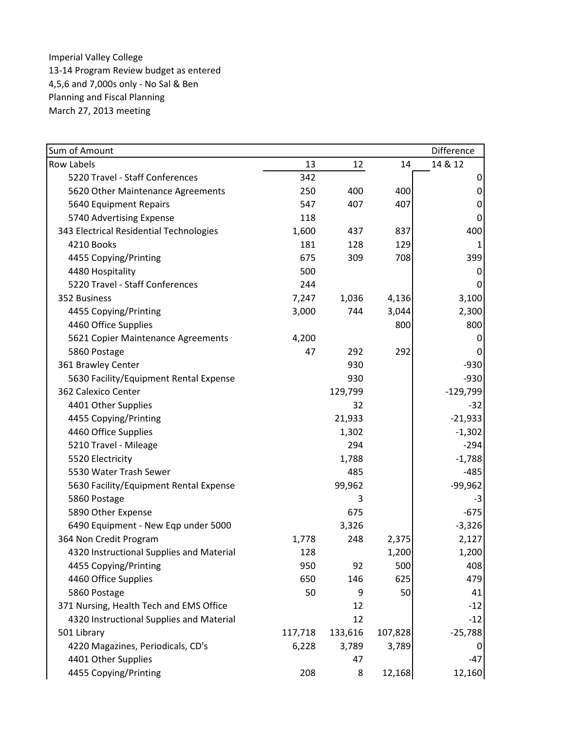| Sum of Amount                            |         |         |         | Difference |
|------------------------------------------|---------|---------|---------|------------|
| <b>Row Labels</b>                        | 13      | 12      | 14      | 14 & 12    |
| 5220 Travel - Staff Conferences          | 342     |         |         | 0          |
| 5620 Other Maintenance Agreements        | 250     | 400     | 400     | 0          |
| 5640 Equipment Repairs                   | 547     | 407     | 407     | 0          |
| 5740 Advertising Expense                 | 118     |         |         | 0          |
| 343 Electrical Residential Technologies  | 1,600   | 437     | 837     | 400        |
| 4210 Books                               | 181     | 128     | 129     | 1          |
| 4455 Copying/Printing                    | 675     | 309     | 708     | 399        |
| 4480 Hospitality                         | 500     |         |         | 0          |
| 5220 Travel - Staff Conferences          | 244     |         |         | O          |
| 352 Business                             | 7,247   | 1,036   | 4,136   | 3,100      |
| 4455 Copying/Printing                    | 3,000   | 744     | 3,044   | 2,300      |
| 4460 Office Supplies                     |         |         | 800     | 800        |
| 5621 Copier Maintenance Agreements       | 4,200   |         |         | 0          |
| 5860 Postage                             | 47      | 292     | 292     |            |
| 361 Brawley Center                       |         | 930     |         | $-930$     |
| 5630 Facility/Equipment Rental Expense   |         | 930     |         | $-930$     |
| 362 Calexico Center                      |         | 129,799 |         | $-129,799$ |
| 4401 Other Supplies                      |         | 32      |         | $-32$      |
| 4455 Copying/Printing                    |         | 21,933  |         | $-21,933$  |
| 4460 Office Supplies                     |         | 1,302   |         | $-1,302$   |
| 5210 Travel - Mileage                    |         | 294     |         | $-294$     |
| 5520 Electricity                         |         | 1,788   |         | $-1,788$   |
| 5530 Water Trash Sewer                   |         | 485     |         | $-485$     |
| 5630 Facility/Equipment Rental Expense   |         | 99,962  |         | $-99,962$  |
| 5860 Postage                             |         | 3       |         | $-3$       |
| 5890 Other Expense                       |         | 675     |         | $-675$     |
| 6490 Equipment - New Eqp under 5000      |         | 3,326   |         | $-3,326$   |
| 364 Non Credit Program                   | 1,778   | 248     | 2,375   | 2,127      |
| 4320 Instructional Supplies and Material | 128     |         | 1,200   | 1,200      |
| 4455 Copying/Printing                    | 950     | 92      | 500     | 408        |
| 4460 Office Supplies                     | 650     | 146     | 625     | 479        |
| 5860 Postage                             | 50      | 9       | 50      | 41         |
| 371 Nursing, Health Tech and EMS Office  |         | 12      |         | $-12$      |
| 4320 Instructional Supplies and Material |         | 12      |         | $-12$      |
| 501 Library                              | 117,718 | 133,616 | 107,828 | $-25,788$  |
| 4220 Magazines, Periodicals, CD's        | 6,228   | 3,789   | 3,789   | $\bf{0}$   |
| 4401 Other Supplies                      |         | 47      |         | $-47$      |
| 4455 Copying/Printing                    | 208     | 8       | 12,168  | 12,160     |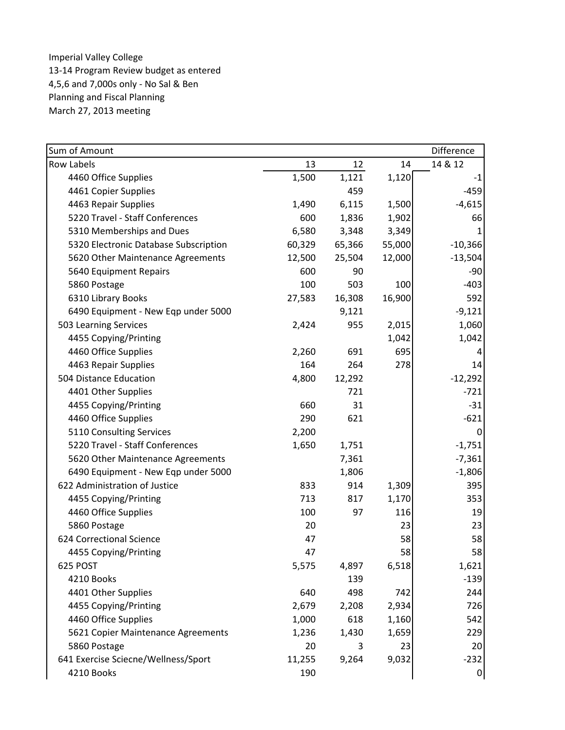| Sum of Amount                         |        |        |        | Difference       |
|---------------------------------------|--------|--------|--------|------------------|
| <b>Row Labels</b>                     | 13     | 12     | 14     | 14 & 12          |
| 4460 Office Supplies                  | 1,500  | 1,121  | 1,120  | $-1$             |
| 4461 Copier Supplies                  |        | 459    |        | $-459$           |
| 4463 Repair Supplies                  | 1,490  | 6,115  | 1,500  | $-4,615$         |
| 5220 Travel - Staff Conferences       | 600    | 1,836  | 1,902  | 66               |
| 5310 Memberships and Dues             | 6,580  | 3,348  | 3,349  |                  |
| 5320 Electronic Database Subscription | 60,329 | 65,366 | 55,000 | $-10,366$        |
| 5620 Other Maintenance Agreements     | 12,500 | 25,504 | 12,000 | $-13,504$        |
| 5640 Equipment Repairs                | 600    | 90     |        | $-90$            |
| 5860 Postage                          | 100    | 503    | 100    | $-403$           |
| 6310 Library Books                    | 27,583 | 16,308 | 16,900 | 592              |
| 6490 Equipment - New Eqp under 5000   |        | 9,121  |        | $-9,121$         |
| 503 Learning Services                 | 2,424  | 955    | 2,015  | 1,060            |
| 4455 Copying/Printing                 |        |        | 1,042  | 1,042            |
| 4460 Office Supplies                  | 2,260  | 691    | 695    |                  |
| 4463 Repair Supplies                  | 164    | 264    | 278    | 14               |
| 504 Distance Education                | 4,800  | 12,292 |        | $-12,292$        |
| 4401 Other Supplies                   |        | 721    |        | $-721$           |
| 4455 Copying/Printing                 | 660    | 31     |        | $-31$            |
| 4460 Office Supplies                  | 290    | 621    |        | $-621$           |
| 5110 Consulting Services              | 2,200  |        |        | 0                |
| 5220 Travel - Staff Conferences       | 1,650  | 1,751  |        | $-1,751$         |
| 5620 Other Maintenance Agreements     |        | 7,361  |        | $-7,361$         |
| 6490 Equipment - New Eqp under 5000   |        | 1,806  |        | $-1,806$         |
| 622 Administration of Justice         | 833    | 914    | 1,309  | 395              |
| 4455 Copying/Printing                 | 713    | 817    | 1,170  | 353              |
| 4460 Office Supplies                  | 100    | 97     | 116    | 19               |
| 5860 Postage                          | 20     |        | 23     | 23               |
| 624 Correctional Science              | 47     |        | 58     | 58               |
| 4455 Copying/Printing                 | 47     |        | 58     | 58               |
| 625 POST                              | 5,575  | 4,897  | 6,518  | 1,621            |
| 4210 Books                            |        | 139    |        | $-139$           |
| 4401 Other Supplies                   | 640    | 498    | 742    | 244              |
| 4455 Copying/Printing                 | 2,679  | 2,208  | 2,934  | 726              |
| 4460 Office Supplies                  | 1,000  | 618    | 1,160  | 542              |
| 5621 Copier Maintenance Agreements    | 1,236  | 1,430  | 1,659  | 229              |
| 5860 Postage                          | 20     | 3      | 23     | 20               |
| 641 Exercise Sciecne/Wellness/Sport   | 11,255 | 9,264  | 9,032  | $-232$           |
| 4210 Books                            | 190    |        |        | $\boldsymbol{0}$ |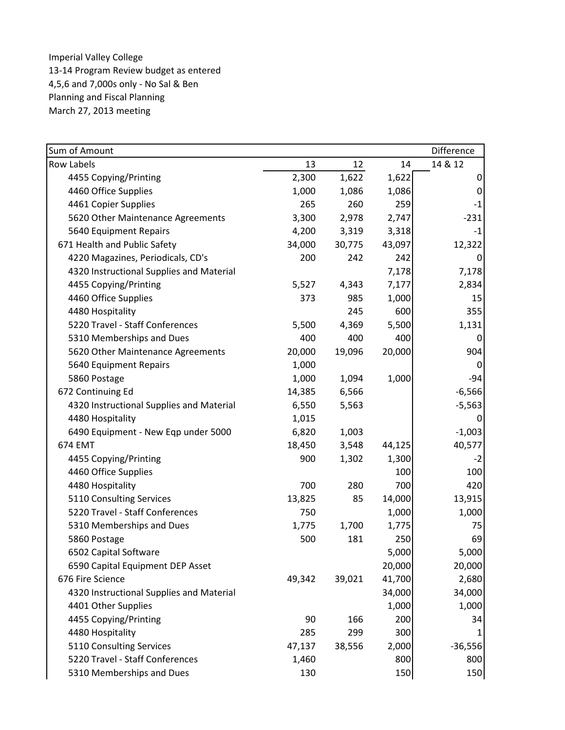| Sum of Amount                            |        |        |        | Difference |
|------------------------------------------|--------|--------|--------|------------|
| Row Labels                               | 13     | 12     | 14     | 14 & 12    |
| 4455 Copying/Printing                    | 2,300  | 1,622  | 1,622  | 0          |
| 4460 Office Supplies                     | 1,000  | 1,086  | 1,086  | 0          |
| 4461 Copier Supplies                     | 265    | 260    | 259    | $-1$       |
| 5620 Other Maintenance Agreements        | 3,300  | 2,978  | 2,747  | $-231$     |
| 5640 Equipment Repairs                   | 4,200  | 3,319  | 3,318  | $-1$       |
| 671 Health and Public Safety             | 34,000 | 30,775 | 43,097 | 12,322     |
| 4220 Magazines, Periodicals, CD's        | 200    | 242    | 242    | 0          |
| 4320 Instructional Supplies and Material |        |        | 7,178  | 7,178      |
| 4455 Copying/Printing                    | 5,527  | 4,343  | 7,177  | 2,834      |
| 4460 Office Supplies                     | 373    | 985    | 1,000  | 15         |
| 4480 Hospitality                         |        | 245    | 600    | 355        |
| 5220 Travel - Staff Conferences          | 5,500  | 4,369  | 5,500  | 1,131      |
| 5310 Memberships and Dues                | 400    | 400    | 400    | 0          |
| 5620 Other Maintenance Agreements        | 20,000 | 19,096 | 20,000 | 904        |
| 5640 Equipment Repairs                   | 1,000  |        |        | 0          |
| 5860 Postage                             | 1,000  | 1,094  | 1,000  | $-94$      |
| 672 Continuing Ed                        | 14,385 | 6,566  |        | $-6,566$   |
| 4320 Instructional Supplies and Material | 6,550  | 5,563  |        | $-5,563$   |
| 4480 Hospitality                         | 1,015  |        |        | 0          |
| 6490 Equipment - New Eqp under 5000      | 6,820  | 1,003  |        | $-1,003$   |
| 674 EMT                                  | 18,450 | 3,548  | 44,125 | 40,577     |
| 4455 Copying/Printing                    | 900    | 1,302  | 1,300  | $-2$       |
| 4460 Office Supplies                     |        |        | 100    | 100        |
| 4480 Hospitality                         | 700    | 280    | 700    | 420        |
| 5110 Consulting Services                 | 13,825 | 85     | 14,000 | 13,915     |
| 5220 Travel - Staff Conferences          | 750    |        | 1,000  | 1,000      |
| 5310 Memberships and Dues                | 1,775  | 1,700  | 1,775  | 75         |
| 5860 Postage                             | 500    | 181    | 250    | 69         |
| 6502 Capital Software                    |        |        | 5,000  | 5,000      |
| 6590 Capital Equipment DEP Asset         |        |        | 20,000 | 20,000     |
| 676 Fire Science                         | 49,342 | 39,021 | 41,700 | 2,680      |
| 4320 Instructional Supplies and Material |        |        | 34,000 | 34,000     |
| 4401 Other Supplies                      |        |        | 1,000  | 1,000      |
| 4455 Copying/Printing                    | 90     | 166    | 200    | 34         |
| 4480 Hospitality                         | 285    | 299    | 300    |            |
| 5110 Consulting Services                 | 47,137 | 38,556 | 2,000  | $-36,556$  |
| 5220 Travel - Staff Conferences          | 1,460  |        | 800    | 800        |
| 5310 Memberships and Dues                | 130    |        | 150    | 150        |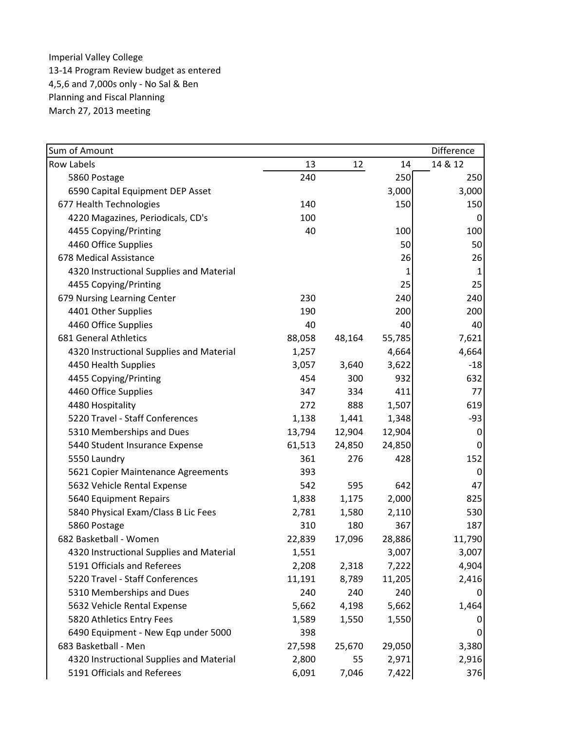| Sum of Amount                            |        |        |        | Difference |
|------------------------------------------|--------|--------|--------|------------|
| <b>Row Labels</b>                        | 13     | 12     | 14     | 14 & 12    |
| 5860 Postage                             | 240    |        | 250    | 250        |
| 6590 Capital Equipment DEP Asset         |        |        | 3,000  | 3,000      |
| 677 Health Technologies                  | 140    |        | 150    | 150        |
| 4220 Magazines, Periodicals, CD's        | 100    |        |        | 0          |
| 4455 Copying/Printing                    | 40     |        | 100    | 100        |
| 4460 Office Supplies                     |        |        | 50     | 50         |
| 678 Medical Assistance                   |        |        | 26     | 26         |
| 4320 Instructional Supplies and Material |        |        | 1      | 1          |
| 4455 Copying/Printing                    |        |        | 25     | 25         |
| 679 Nursing Learning Center              | 230    |        | 240    | 240        |
| 4401 Other Supplies                      | 190    |        | 200    | 200        |
| 4460 Office Supplies                     | 40     |        | 40     | 40         |
| 681 General Athletics                    | 88,058 | 48,164 | 55,785 | 7,621      |
| 4320 Instructional Supplies and Material | 1,257  |        | 4,664  | 4,664      |
| 4450 Health Supplies                     | 3,057  | 3,640  | 3,622  | $-18$      |
| 4455 Copying/Printing                    | 454    | 300    | 932    | 632        |
| 4460 Office Supplies                     | 347    | 334    | 411    | 77         |
| 4480 Hospitality                         | 272    | 888    | 1,507  | 619        |
| 5220 Travel - Staff Conferences          | 1,138  | 1,441  | 1,348  | $-93$      |
| 5310 Memberships and Dues                | 13,794 | 12,904 | 12,904 | 0          |
| 5440 Student Insurance Expense           | 61,513 | 24,850 | 24,850 | 0          |
| 5550 Laundry                             | 361    | 276    | 428    | 152        |
| 5621 Copier Maintenance Agreements       | 393    |        |        | 0          |
| 5632 Vehicle Rental Expense              | 542    | 595    | 642    | 47         |
| 5640 Equipment Repairs                   | 1,838  | 1,175  | 2,000  | 825        |
| 5840 Physical Exam/Class B Lic Fees      | 2,781  | 1,580  | 2,110  | 530        |
| 5860 Postage                             | 310    | 180    | 367    | 187        |
| 682 Basketball - Women                   | 22,839 | 17,096 | 28,886 | 11,790     |
| 4320 Instructional Supplies and Material | 1,551  |        | 3,007  | 3,007      |
| 5191 Officials and Referees              | 2,208  | 2,318  | 7,222  | 4,904      |
| 5220 Travel - Staff Conferences          | 11,191 | 8,789  | 11,205 | 2,416      |
| 5310 Memberships and Dues                | 240    | 240    | 240    | 0          |
| 5632 Vehicle Rental Expense              | 5,662  | 4,198  | 5,662  | 1,464      |
| 5820 Athletics Entry Fees                | 1,589  | 1,550  | 1,550  | U          |
| 6490 Equipment - New Eqp under 5000      | 398    |        |        | 0          |
| 683 Basketball - Men                     | 27,598 | 25,670 | 29,050 | 3,380      |
| 4320 Instructional Supplies and Material | 2,800  | 55     | 2,971  | 2,916      |
| 5191 Officials and Referees              | 6,091  | 7,046  | 7,422  | 376        |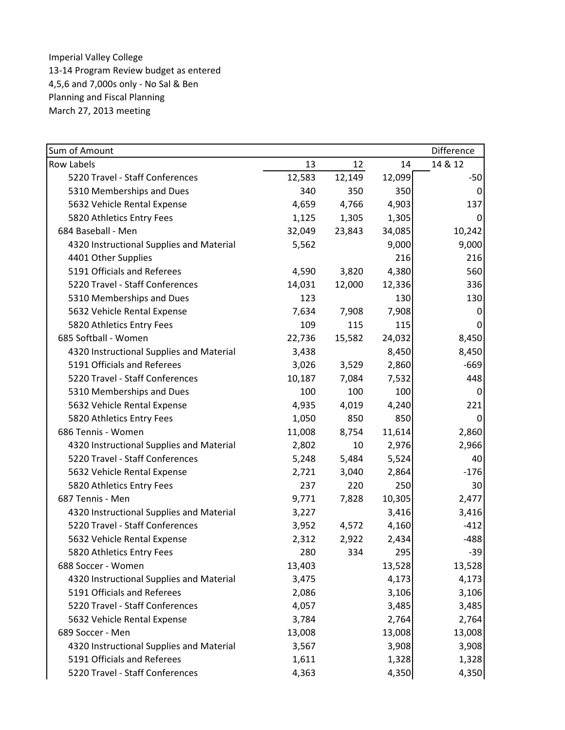| Sum of Amount                            |        |        |        | Difference |
|------------------------------------------|--------|--------|--------|------------|
| <b>Row Labels</b>                        | 13     | 12     | 14     | 14 & 12    |
| 5220 Travel - Staff Conferences          | 12,583 | 12,149 | 12,099 | $-50$      |
| 5310 Memberships and Dues                | 340    | 350    | 350    | 0          |
| 5632 Vehicle Rental Expense              | 4,659  | 4,766  | 4,903  | 137        |
| 5820 Athletics Entry Fees                | 1,125  | 1,305  | 1,305  | 0          |
| 684 Baseball - Men                       | 32,049 | 23,843 | 34,085 | 10,242     |
| 4320 Instructional Supplies and Material | 5,562  |        | 9,000  | 9,000      |
| 4401 Other Supplies                      |        |        | 216    | 216        |
| 5191 Officials and Referees              | 4,590  | 3,820  | 4,380  | 560        |
| 5220 Travel - Staff Conferences          | 14,031 | 12,000 | 12,336 | 336        |
| 5310 Memberships and Dues                | 123    |        | 130    | 130        |
| 5632 Vehicle Rental Expense              | 7,634  | 7,908  | 7,908  | 0          |
| 5820 Athletics Entry Fees                | 109    | 115    | 115    | 0          |
| 685 Softball - Women                     | 22,736 | 15,582 | 24,032 | 8,450      |
| 4320 Instructional Supplies and Material | 3,438  |        | 8,450  | 8,450      |
| 5191 Officials and Referees              | 3,026  | 3,529  | 2,860  | $-669$     |
| 5220 Travel - Staff Conferences          | 10,187 | 7,084  | 7,532  | 448        |
| 5310 Memberships and Dues                | 100    | 100    | 100    | 0          |
| 5632 Vehicle Rental Expense              | 4,935  | 4,019  | 4,240  | 221        |
| 5820 Athletics Entry Fees                | 1,050  | 850    | 850    | 0          |
| 686 Tennis - Women                       | 11,008 | 8,754  | 11,614 | 2,860      |
| 4320 Instructional Supplies and Material | 2,802  | 10     | 2,976  | 2,966      |
| 5220 Travel - Staff Conferences          | 5,248  | 5,484  | 5,524  | 40         |
| 5632 Vehicle Rental Expense              | 2,721  | 3,040  | 2,864  | $-176$     |
| 5820 Athletics Entry Fees                | 237    | 220    | 250    | 30         |
| 687 Tennis - Men                         | 9,771  | 7,828  | 10,305 | 2,477      |
| 4320 Instructional Supplies and Material | 3,227  |        | 3,416  | 3,416      |
| 5220 Travel - Staff Conferences          | 3,952  | 4,572  | 4,160  | $-412$     |
| 5632 Vehicle Rental Expense              | 2,312  | 2,922  | 2,434  | $-488$     |
| 5820 Athletics Entry Fees                | 280    | 334    | 295    | $-39$      |
| 688 Soccer - Women                       | 13,403 |        | 13,528 | 13,528     |
| 4320 Instructional Supplies and Material | 3,475  |        | 4,173  | 4,173      |
| 5191 Officials and Referees              | 2,086  |        | 3,106  | 3,106      |
| 5220 Travel - Staff Conferences          | 4,057  |        | 3,485  | 3,485      |
| 5632 Vehicle Rental Expense              | 3,784  |        | 2,764  | 2,764      |
| 689 Soccer - Men                         | 13,008 |        | 13,008 | 13,008     |
| 4320 Instructional Supplies and Material | 3,567  |        | 3,908  | 3,908      |
| 5191 Officials and Referees              | 1,611  |        | 1,328  | 1,328      |
| 5220 Travel - Staff Conferences          | 4,363  |        | 4,350  | 4,350      |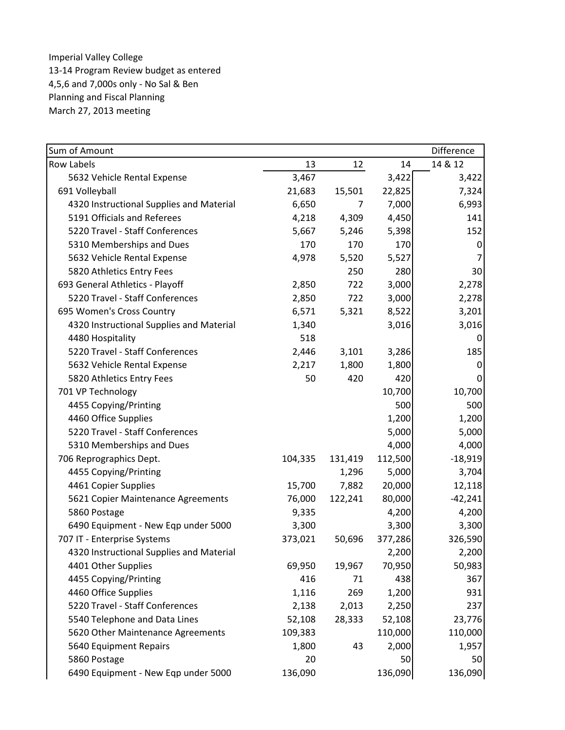| Sum of Amount                            |         |         |         | Difference |
|------------------------------------------|---------|---------|---------|------------|
| <b>Row Labels</b>                        | 13      | 12      | 14      | 14 & 12    |
| 5632 Vehicle Rental Expense              | 3,467   |         | 3,422   | 3,422      |
| 691 Volleyball                           | 21,683  | 15,501  | 22,825  | 7,324      |
| 4320 Instructional Supplies and Material | 6,650   | 7       | 7,000   | 6,993      |
| 5191 Officials and Referees              | 4,218   | 4,309   | 4,450   | 141        |
| 5220 Travel - Staff Conferences          | 5,667   | 5,246   | 5,398   | 152        |
| 5310 Memberships and Dues                | 170     | 170     | 170     | 0          |
| 5632 Vehicle Rental Expense              | 4,978   | 5,520   | 5,527   | 7          |
| 5820 Athletics Entry Fees                |         | 250     | 280     | 30         |
| 693 General Athletics - Playoff          | 2,850   | 722     | 3,000   | 2,278      |
| 5220 Travel - Staff Conferences          | 2,850   | 722     | 3,000   | 2,278      |
| 695 Women's Cross Country                | 6,571   | 5,321   | 8,522   | 3,201      |
| 4320 Instructional Supplies and Material | 1,340   |         | 3,016   | 3,016      |
| 4480 Hospitality                         | 518     |         |         | 0          |
| 5220 Travel - Staff Conferences          | 2,446   | 3,101   | 3,286   | 185        |
| 5632 Vehicle Rental Expense              | 2,217   | 1,800   | 1,800   | 0          |
| 5820 Athletics Entry Fees                | 50      | 420     | 420     | 0          |
| 701 VP Technology                        |         |         | 10,700  | 10,700     |
| 4455 Copying/Printing                    |         |         | 500     | 500        |
| 4460 Office Supplies                     |         |         | 1,200   | 1,200      |
| 5220 Travel - Staff Conferences          |         |         | 5,000   | 5,000      |
| 5310 Memberships and Dues                |         |         | 4,000   | 4,000      |
| 706 Reprographics Dept.                  | 104,335 | 131,419 | 112,500 | $-18,919$  |
| 4455 Copying/Printing                    |         | 1,296   | 5,000   | 3,704      |
| 4461 Copier Supplies                     | 15,700  | 7,882   | 20,000  | 12,118     |
| 5621 Copier Maintenance Agreements       | 76,000  | 122,241 | 80,000  | $-42,241$  |
| 5860 Postage                             | 9,335   |         | 4,200   | 4,200      |
| 6490 Equipment - New Eqp under 5000      | 3,300   |         | 3,300   | 3,300      |
| 707 IT - Enterprise Systems              | 373,021 | 50,696  | 377,286 | 326,590    |
| 4320 Instructional Supplies and Material |         |         | 2,200   | 2,200      |
| 4401 Other Supplies                      | 69,950  | 19,967  | 70,950  | 50,983     |
| 4455 Copying/Printing                    | 416     | 71      | 438     | 367        |
| 4460 Office Supplies                     | 1,116   | 269     | 1,200   | 931        |
| 5220 Travel - Staff Conferences          | 2,138   | 2,013   | 2,250   | 237        |
| 5540 Telephone and Data Lines            | 52,108  | 28,333  | 52,108  | 23,776     |
| 5620 Other Maintenance Agreements        | 109,383 |         | 110,000 | 110,000    |
| 5640 Equipment Repairs                   | 1,800   | 43      | 2,000   | 1,957      |
| 5860 Postage                             | 20      |         | 50      | 50         |
| 6490 Equipment - New Eqp under 5000      | 136,090 |         | 136,090 | 136,090    |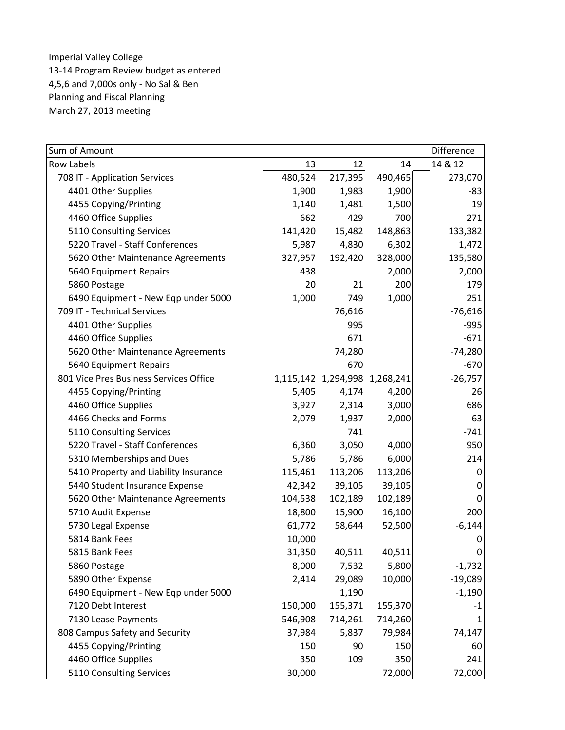| Sum of Amount                          |         |                               |         | Difference |
|----------------------------------------|---------|-------------------------------|---------|------------|
| <b>Row Labels</b>                      | 13      | 12                            | 14      | 14 & 12    |
| 708 IT - Application Services          | 480,524 | 217,395                       | 490,465 | 273,070    |
| 4401 Other Supplies                    | 1,900   | 1,983                         | 1,900   | $-83$      |
| 4455 Copying/Printing                  | 1,140   | 1,481                         | 1,500   | 19         |
| 4460 Office Supplies                   | 662     | 429                           | 700     | 271        |
| 5110 Consulting Services               | 141,420 | 15,482                        | 148,863 | 133,382    |
| 5220 Travel - Staff Conferences        | 5,987   | 4,830                         | 6,302   | 1,472      |
| 5620 Other Maintenance Agreements      | 327,957 | 192,420                       | 328,000 | 135,580    |
| 5640 Equipment Repairs                 | 438     |                               | 2,000   | 2,000      |
| 5860 Postage                           | 20      | 21                            | 200     | 179        |
| 6490 Equipment - New Eqp under 5000    | 1,000   | 749                           | 1,000   | 251        |
| 709 IT - Technical Services            |         | 76,616                        |         | $-76,616$  |
| 4401 Other Supplies                    |         | 995                           |         | $-995$     |
| 4460 Office Supplies                   |         | 671                           |         | $-671$     |
| 5620 Other Maintenance Agreements      |         | 74,280                        |         | $-74,280$  |
| 5640 Equipment Repairs                 |         | 670                           |         | $-670$     |
| 801 Vice Pres Business Services Office |         | 1,115,142 1,294,998 1,268,241 |         | $-26,757$  |
| 4455 Copying/Printing                  | 5,405   | 4,174                         | 4,200   | 26         |
| 4460 Office Supplies                   | 3,927   | 2,314                         | 3,000   | 686        |
| 4466 Checks and Forms                  | 2,079   | 1,937                         | 2,000   | 63         |
| 5110 Consulting Services               |         | 741                           |         | $-741$     |
| 5220 Travel - Staff Conferences        | 6,360   | 3,050                         | 4,000   | 950        |
| 5310 Memberships and Dues              | 5,786   | 5,786                         | 6,000   | 214        |
| 5410 Property and Liability Insurance  | 115,461 | 113,206                       | 113,206 | 0          |
| 5440 Student Insurance Expense         | 42,342  | 39,105                        | 39,105  | 0          |
| 5620 Other Maintenance Agreements      | 104,538 | 102,189                       | 102,189 | $\pmb{0}$  |
| 5710 Audit Expense                     | 18,800  | 15,900                        | 16,100  | 200        |
| 5730 Legal Expense                     | 61,772  | 58,644                        | 52,500  | $-6,144$   |
| 5814 Bank Fees                         | 10,000  |                               |         | 0          |
| 5815 Bank Fees                         | 31,350  | 40,511                        | 40,511  | 0          |
| 5860 Postage                           | 8,000   | 7,532                         | 5,800   | $-1,732$   |
| 5890 Other Expense                     | 2,414   | 29,089                        | 10,000  | $-19,089$  |
| 6490 Equipment - New Eqp under 5000    |         | 1,190                         |         | $-1,190$   |
| 7120 Debt Interest                     | 150,000 | 155,371                       | 155,370 | $-1$       |
| 7130 Lease Payments                    | 546,908 | 714,261                       | 714,260 | $-1$       |
| 808 Campus Safety and Security         | 37,984  | 5,837                         | 79,984  | 74,147     |
| 4455 Copying/Printing                  | 150     | 90                            | 150     | 60         |
| 4460 Office Supplies                   | 350     | 109                           | 350     | 241        |
| 5110 Consulting Services               | 30,000  |                               | 72,000  | 72,000     |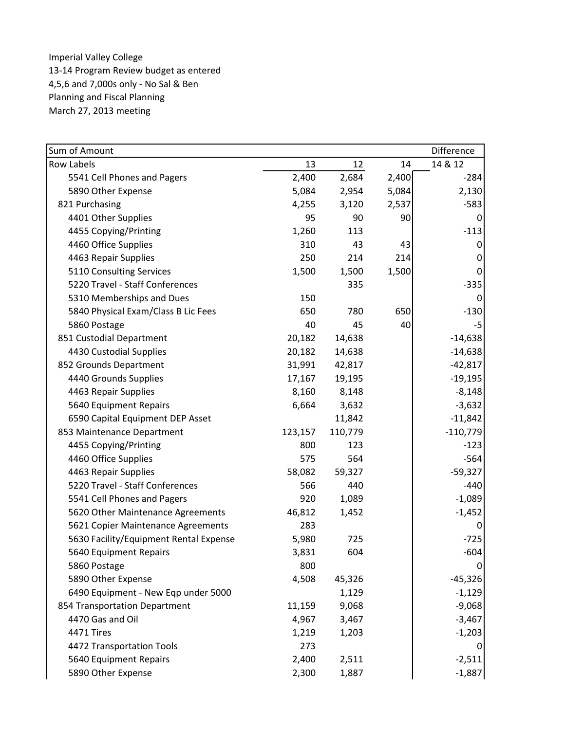| Sum of Amount                          |         |         |       | Difference |
|----------------------------------------|---------|---------|-------|------------|
| <b>Row Labels</b>                      | 13      | 12      | 14    | 14 & 12    |
| 5541 Cell Phones and Pagers            | 2,400   | 2,684   | 2,400 | $-284$     |
| 5890 Other Expense                     | 5,084   | 2,954   | 5,084 | 2,130      |
| 821 Purchasing                         | 4,255   | 3,120   | 2,537 | $-583$     |
| 4401 Other Supplies                    | 95      | 90      | 90    | 0          |
| 4455 Copying/Printing                  | 1,260   | 113     |       | $-113$     |
| 4460 Office Supplies                   | 310     | 43      | 43    | 0          |
| 4463 Repair Supplies                   | 250     | 214     | 214   | 0          |
| 5110 Consulting Services               | 1,500   | 1,500   | 1,500 | 0          |
| 5220 Travel - Staff Conferences        |         | 335     |       | $-335$     |
| 5310 Memberships and Dues              | 150     |         |       | 0          |
| 5840 Physical Exam/Class B Lic Fees    | 650     | 780     | 650   | $-130$     |
| 5860 Postage                           | 40      | 45      | 40    | $-5$       |
| 851 Custodial Department               | 20,182  | 14,638  |       | $-14,638$  |
| 4430 Custodial Supplies                | 20,182  | 14,638  |       | $-14,638$  |
| 852 Grounds Department                 | 31,991  | 42,817  |       | $-42,817$  |
| 4440 Grounds Supplies                  | 17,167  | 19,195  |       | $-19,195$  |
| 4463 Repair Supplies                   | 8,160   | 8,148   |       | $-8,148$   |
| 5640 Equipment Repairs                 | 6,664   | 3,632   |       | $-3,632$   |
| 6590 Capital Equipment DEP Asset       |         | 11,842  |       | $-11,842$  |
| 853 Maintenance Department             | 123,157 | 110,779 |       | $-110,779$ |
| 4455 Copying/Printing                  | 800     | 123     |       | $-123$     |
| 4460 Office Supplies                   | 575     | 564     |       | $-564$     |
| 4463 Repair Supplies                   | 58,082  | 59,327  |       | $-59,327$  |
| 5220 Travel - Staff Conferences        | 566     | 440     |       | $-440$     |
| 5541 Cell Phones and Pagers            | 920     | 1,089   |       | $-1,089$   |
| 5620 Other Maintenance Agreements      | 46,812  | 1,452   |       | $-1,452$   |
| 5621 Copier Maintenance Agreements     | 283     |         |       | 0          |
| 5630 Facility/Equipment Rental Expense | 5,980   | 725     |       | $-725$     |
| 5640 Equipment Repairs                 | 3,831   | 604     |       | $-604$     |
| 5860 Postage                           | 800     |         |       | 0          |
| 5890 Other Expense                     | 4,508   | 45,326  |       | $-45,326$  |
| 6490 Equipment - New Eqp under 5000    |         | 1,129   |       | $-1,129$   |
| 854 Transportation Department          | 11,159  | 9,068   |       | $-9,068$   |
| 4470 Gas and Oil                       | 4,967   | 3,467   |       | $-3,467$   |
| 4471 Tires                             | 1,219   | 1,203   |       | $-1,203$   |
| 4472 Transportation Tools              | 273     |         |       | 0          |
| 5640 Equipment Repairs                 | 2,400   | 2,511   |       | $-2,511$   |
| 5890 Other Expense                     | 2,300   | 1,887   |       | $-1,887$   |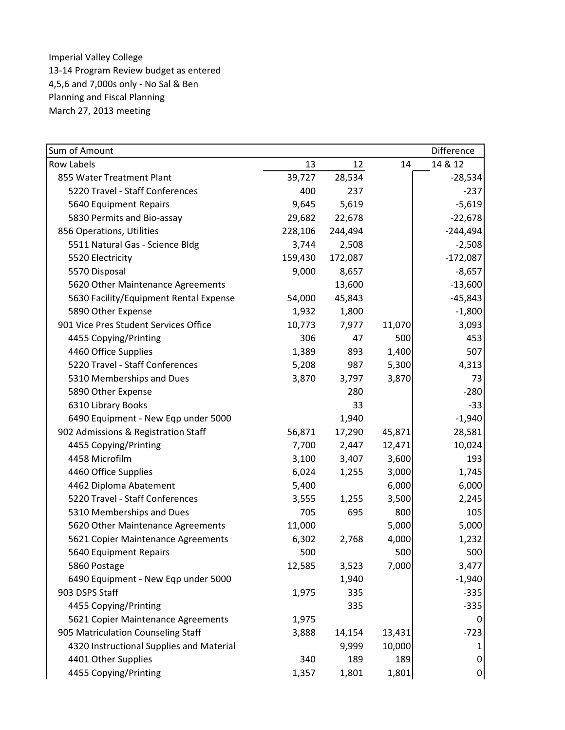| Sum of Amount                            |         |         |        | Difference |
|------------------------------------------|---------|---------|--------|------------|
| <b>Row Labels</b>                        | 13      | 12      | 14     | 14 & 12    |
| 855 Water Treatment Plant                | 39,727  | 28,534  |        | $-28,534$  |
| 5220 Travel - Staff Conferences          | 400     | 237     |        | $-237$     |
| 5640 Equipment Repairs                   | 9,645   | 5,619   |        | $-5,619$   |
| 5830 Permits and Bio-assay               | 29,682  | 22,678  |        | $-22,678$  |
| 856 Operations, Utilities                | 228,106 | 244,494 |        | $-244,494$ |
| 5511 Natural Gas - Science Bldg          | 3,744   | 2,508   |        | $-2,508$   |
| 5520 Electricity                         | 159,430 | 172,087 |        | $-172,087$ |
| 5570 Disposal                            | 9,000   | 8,657   |        | $-8,657$   |
| 5620 Other Maintenance Agreements        |         | 13,600  |        | $-13,600$  |
| 5630 Facility/Equipment Rental Expense   | 54,000  | 45,843  |        | $-45,843$  |
| 5890 Other Expense                       | 1,932   | 1,800   |        | $-1,800$   |
| 901 Vice Pres Student Services Office    | 10,773  | 7,977   | 11,070 | 3,093      |
| 4455 Copying/Printing                    | 306     | 47      | 500    | 453        |
| 4460 Office Supplies                     | 1,389   | 893     | 1,400  | 507        |
| 5220 Travel - Staff Conferences          | 5,208   | 987     | 5,300  | 4,313      |
| 5310 Memberships and Dues                | 3,870   | 3,797   | 3,870  | 73         |
| 5890 Other Expense                       |         | 280     |        | $-280$     |
| 6310 Library Books                       |         | 33      |        | $-33$      |
| 6490 Equipment - New Eqp under 5000      |         | 1,940   |        | $-1,940$   |
| 902 Admissions & Registration Staff      | 56,871  | 17,290  | 45,871 | 28,581     |
| 4455 Copying/Printing                    | 7,700   | 2,447   | 12,471 | 10,024     |
| 4458 Microfilm                           | 3,100   | 3,407   | 3,600  | 193        |
| 4460 Office Supplies                     | 6,024   | 1,255   | 3,000  | 1,745      |
| 4462 Diploma Abatement                   | 5,400   |         | 6,000  | 6,000      |
| 5220 Travel - Staff Conferences          | 3,555   | 1,255   | 3,500  | 2,245      |
| 5310 Memberships and Dues                | 705     | 695     | 800    | 105        |
| 5620 Other Maintenance Agreements        | 11,000  |         | 5,000  | 5,000      |
| 5621 Copier Maintenance Agreements       | 6,302   | 2,768   | 4,000  | 1,232      |
| 5640 Equipment Repairs                   | 500     |         | 500    | 500        |
| 5860 Postage                             | 12,585  | 3,523   | 7,000  | 3,477      |
| 6490 Equipment - New Eqp under 5000      |         | 1,940   |        | $-1,940$   |
| 903 DSPS Staff                           | 1,975   | 335     |        | $-335$     |
| 4455 Copying/Printing                    |         | 335     |        | $-335$     |
| 5621 Copier Maintenance Agreements       | 1,975   |         |        | 0          |
| 905 Matriculation Counseling Staff       | 3,888   | 14,154  | 13,431 | $-723$     |
| 4320 Instructional Supplies and Material |         | 9,999   | 10,000 |            |
| 4401 Other Supplies                      | 340     | 189     | 189    | 0          |
| 4455 Copying/Printing                    | 1,357   | 1,801   | 1,801  | $\pmb{0}$  |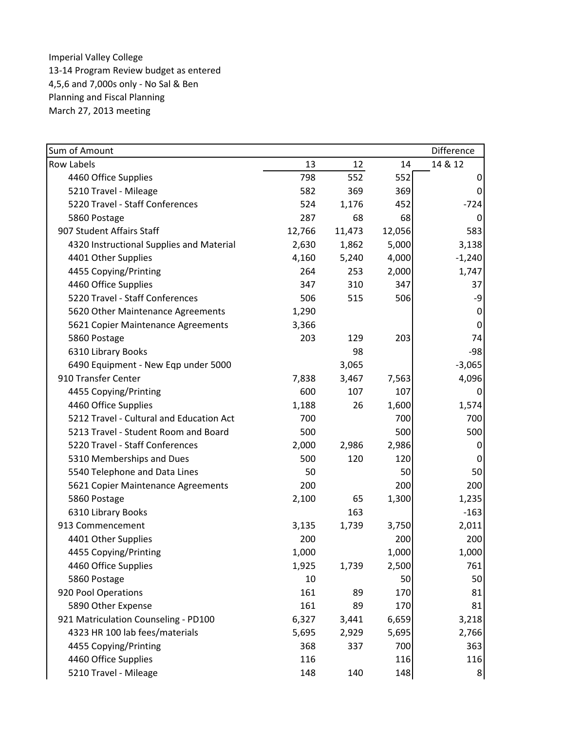| Sum of Amount                            |        |        |        | Difference  |
|------------------------------------------|--------|--------|--------|-------------|
| <b>Row Labels</b>                        | 13     | 12     | 14     | 14 & 12     |
| 4460 Office Supplies                     | 798    | 552    | 552    | 0           |
| 5210 Travel - Mileage                    | 582    | 369    | 369    | 0           |
| 5220 Travel - Staff Conferences          | 524    | 1,176  | 452    | $-724$      |
| 5860 Postage                             | 287    | 68     | 68     | 0           |
| 907 Student Affairs Staff                | 12,766 | 11,473 | 12,056 | 583         |
| 4320 Instructional Supplies and Material | 2,630  | 1,862  | 5,000  | 3,138       |
| 4401 Other Supplies                      | 4,160  | 5,240  | 4,000  | $-1,240$    |
| 4455 Copying/Printing                    | 264    | 253    | 2,000  | 1,747       |
| 4460 Office Supplies                     | 347    | 310    | 347    | 37          |
| 5220 Travel - Staff Conferences          | 506    | 515    | 506    | -9          |
| 5620 Other Maintenance Agreements        | 1,290  |        |        | 0           |
| 5621 Copier Maintenance Agreements       | 3,366  |        |        | $\mathbf 0$ |
| 5860 Postage                             | 203    | 129    | 203    | 74          |
| 6310 Library Books                       |        | 98     |        | $-98$       |
| 6490 Equipment - New Eqp under 5000      |        | 3,065  |        | $-3,065$    |
| 910 Transfer Center                      | 7,838  | 3,467  | 7,563  | 4,096       |
| 4455 Copying/Printing                    | 600    | 107    | 107    | 0           |
| 4460 Office Supplies                     | 1,188  | 26     | 1,600  | 1,574       |
| 5212 Travel - Cultural and Education Act | 700    |        | 700    | 700         |
| 5213 Travel - Student Room and Board     | 500    |        | 500    | 500         |
| 5220 Travel - Staff Conferences          | 2,000  | 2,986  | 2,986  | 0           |
| 5310 Memberships and Dues                | 500    | 120    | 120    | 0           |
| 5540 Telephone and Data Lines            | 50     |        | 50     | 50          |
| 5621 Copier Maintenance Agreements       | 200    |        | 200    | 200         |
| 5860 Postage                             | 2,100  | 65     | 1,300  | 1,235       |
| 6310 Library Books                       |        | 163    |        | $-163$      |
| 913 Commencement                         | 3,135  | 1,739  | 3,750  | 2,011       |
| 4401 Other Supplies                      | 200    |        | 200    | 200         |
| 4455 Copying/Printing                    | 1,000  |        | 1,000  | 1,000       |
| 4460 Office Supplies                     | 1,925  | 1,739  | 2,500  | 761         |
| 5860 Postage                             | 10     |        | 50     | 50          |
| 920 Pool Operations                      | 161    | 89     | 170    | 81          |
| 5890 Other Expense                       | 161    | 89     | 170    | 81          |
| 921 Matriculation Counseling - PD100     | 6,327  | 3,441  | 6,659  | 3,218       |
| 4323 HR 100 lab fees/materials           | 5,695  | 2,929  | 5,695  | 2,766       |
| 4455 Copying/Printing                    | 368    | 337    | 700    | 363         |
| 4460 Office Supplies                     | 116    |        | 116    | 116         |
| 5210 Travel - Mileage                    | 148    | 140    | 148    | 8           |